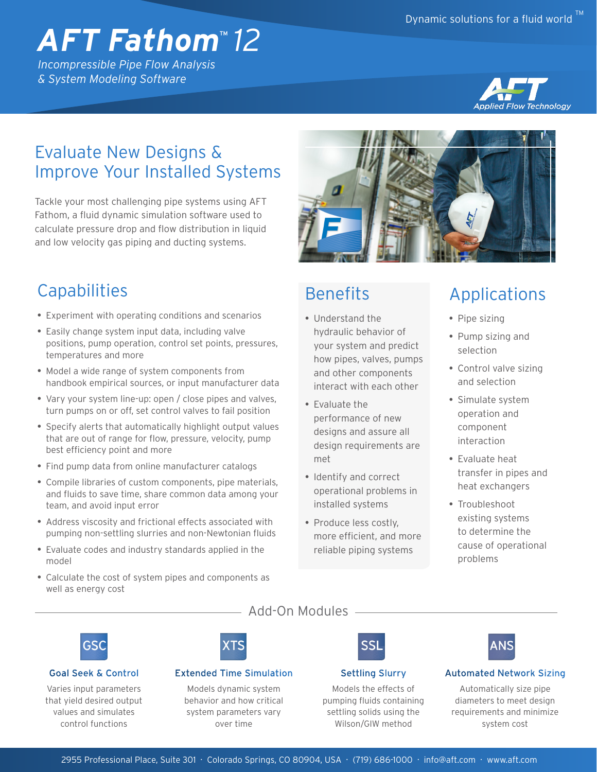# *AFT Fathom*™ *12*

*Incompressible Pipe Flow Analysis & System Modeling Software*



# Evaluate New Designs & Improve Your Installed Systems

Tackle your most challenging pipe systems using AFT Fathom, a fluid dynamic simulation software used to calculate pressure drop and flow distribution in liquid and low velocity gas piping and ducting systems.

# **Capabilities**

- Experiment with operating conditions and scenarios
- Easily change system input data, including valve positions, pump operation, control set points, pressures, temperatures and more
- Model a wide range of system components from handbook empirical sources, or input manufacturer data
- Vary your system line-up: open / close pipes and valves, turn pumps on or off, set control valves to fail position
- Specify alerts that automatically highlight output values that are out of range for flow, pressure, velocity, pump best efficiency point and more
- Find pump data from online manufacturer catalogs
- Compile libraries of custom components, pipe materials, and fluids to save time, share common data among your team, and avoid input error
- Address viscosity and frictional effects associated with pumping non-settling slurries and non-Newtonian fluids
- Evaluate codes and industry standards applied in the model
- Calculate the cost of system pipes and components as well as energy cost



### **Benefits**

- Understand the hydraulic behavior of your system and predict how pipes, valves, pumps and other components interact with each other
- Evaluate the performance of new designs and assure all design requirements are met
- Identify and correct operational problems in installed systems
- Produce less costly, more efficient, and more reliable piping systems

# Applications

- Pipe sizing
- Pump sizing and selection
- Control valve sizing and selection
- Simulate system operation and component interaction
- Evaluate heat transfer in pipes and heat exchangers
- Troubleshoot existing systems to determine the cause of operational problems



#### Goal Seek & Control

Varies input parameters that yield desired output values and simulates control functions

#### Add-On Modules



#### Extended Time Simulation

Models dynamic system behavior and how critical system parameters vary over time

### Settling Slurry

SSI

Models the effects of pumping fluids containing settling solids using the Wilson/GIW method



#### Automated Network Sizing

Automatically size pipe diameters to meet design requirements and minimize system cost